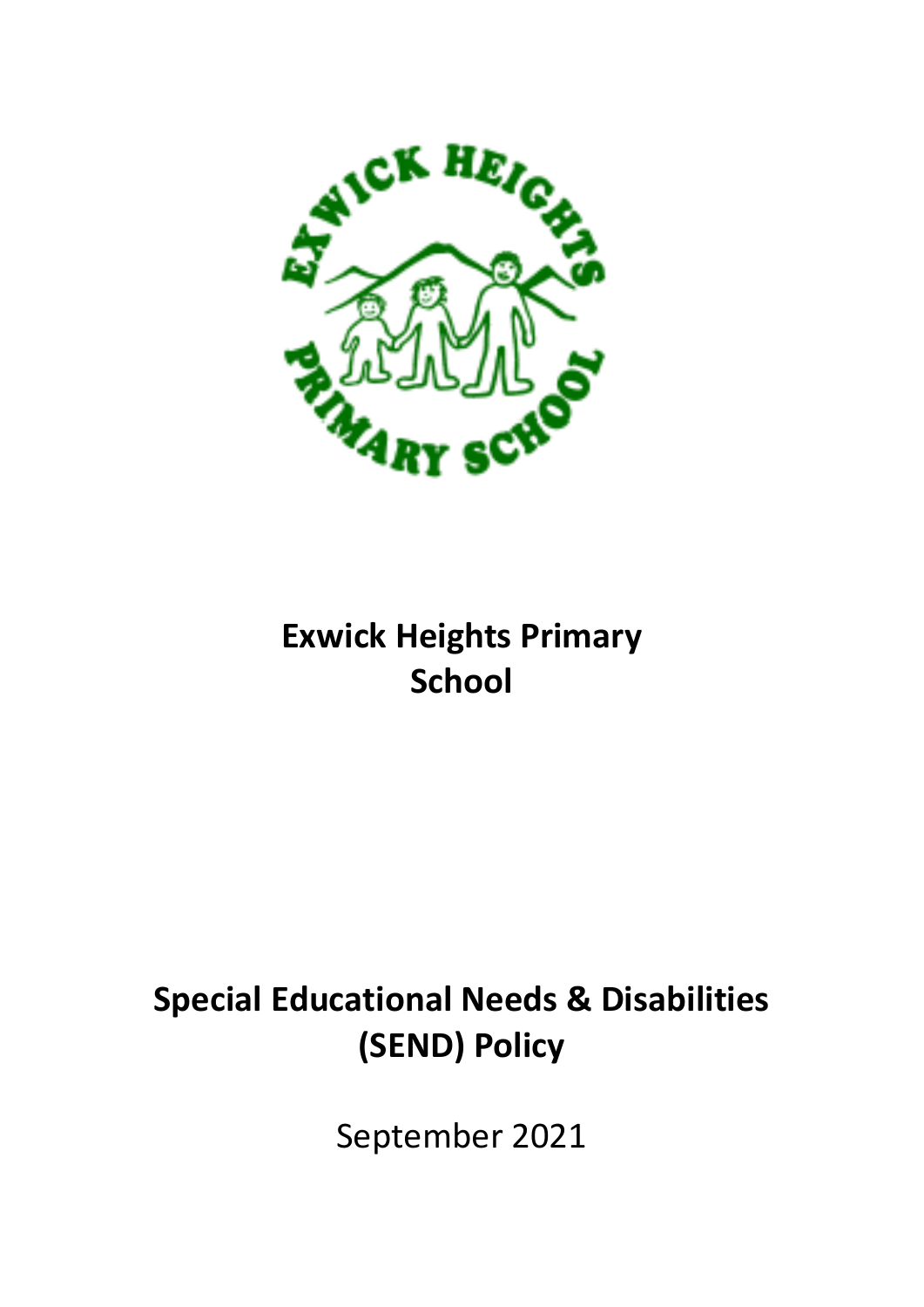

# **Exwick Heights Primary School**

# **Special Educational Needs & Disabilities (SEND) Policy**

September 2021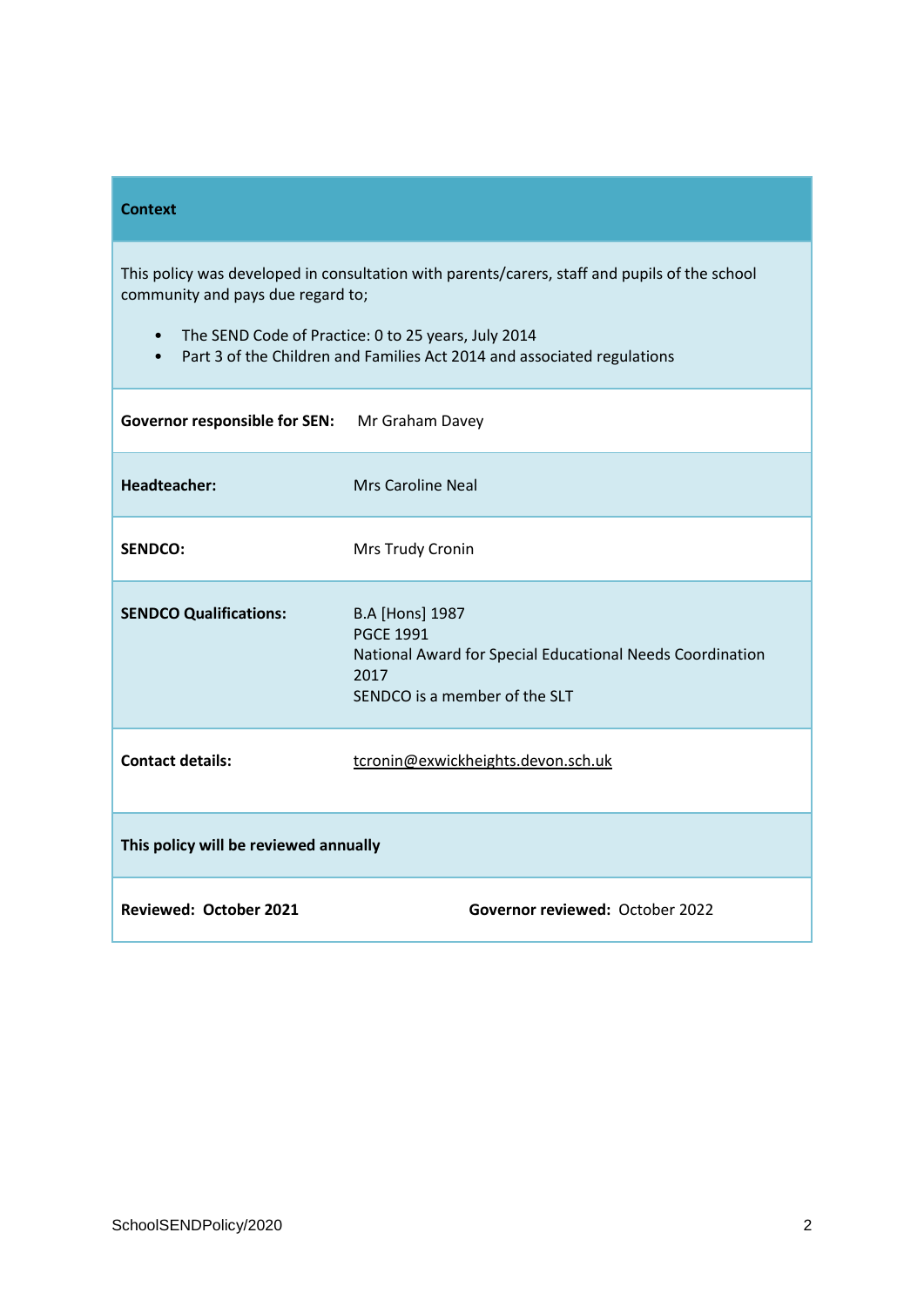#### **Context**

This policy was developed in consultation with parents/carers, staff and pupils of the school community and pays due regard to;

- The SEND Code of Practice: 0 to 25 years, July 2014
- Part 3 of the Children and Families Act 2014 and associated regulations

| Governor responsible for SEN: Mr Graham Davey |                                                                                                                                                  |
|-----------------------------------------------|--------------------------------------------------------------------------------------------------------------------------------------------------|
| <b>Headteacher:</b>                           | <b>Mrs Caroline Neal</b>                                                                                                                         |
| <b>SENDCO:</b>                                | Mrs Trudy Cronin                                                                                                                                 |
| <b>SENDCO Qualifications:</b>                 | <b>B.A [Hons] 1987</b><br><b>PGCE 1991</b><br>National Award for Special Educational Needs Coordination<br>2017<br>SENDCO is a member of the SLT |
| <b>Contact details:</b>                       | tcronin@exwickheights.devon.sch.uk                                                                                                               |
| This policy will be reviewed annually         |                                                                                                                                                  |
| <b>Reviewed: October 2021</b>                 | Governor reviewed: October 2022                                                                                                                  |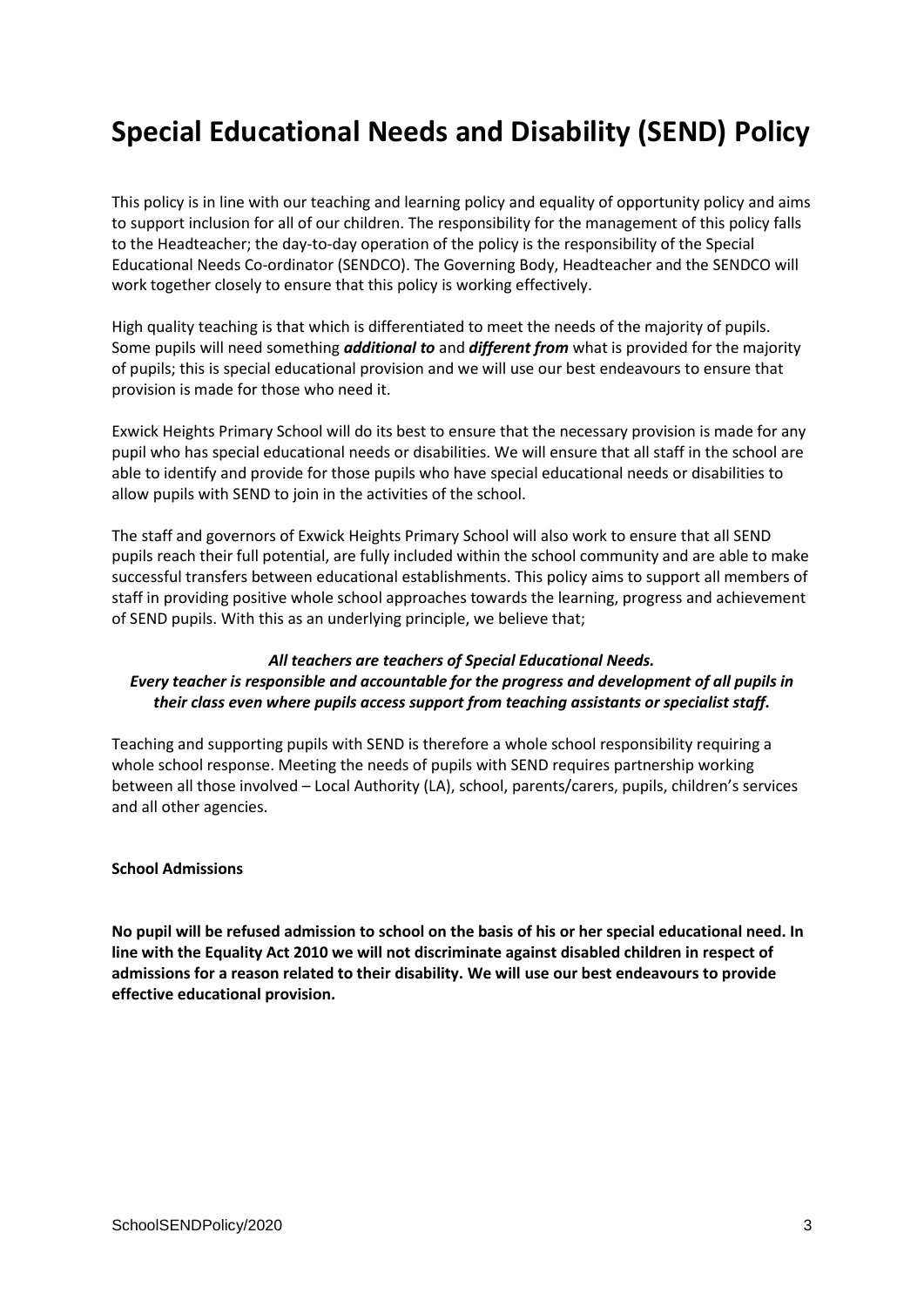### **Special Educational Needs and Disability (SEND) Policy**

This policy is in line with our teaching and learning policy and equality of opportunity policy and aims to support inclusion for all of our children. The responsibility for the management of this policy falls to the Headteacher; the day-to-day operation of the policy is the responsibility of the Special Educational Needs Co-ordinator (SENDCO). The Governing Body, Headteacher and the SENDCO will work together closely to ensure that this policy is working effectively.

High quality teaching is that which is differentiated to meet the needs of the majority of pupils. Some pupils will need something *additional to* and *different from* what is provided for the majority of pupils; this is special educational provision and we will use our best endeavours to ensure that provision is made for those who need it.

Exwick Heights Primary School will do its best to ensure that the necessary provision is made for any pupil who has special educational needs or disabilities. We will ensure that all staff in the school are able to identify and provide for those pupils who have special educational needs or disabilities to allow pupils with SEND to join in the activities of the school.

The staff and governors of Exwick Heights Primary School will also work to ensure that all SEND pupils reach their full potential, are fully included within the school community and are able to make successful transfers between educational establishments. This policy aims to support all members of staff in providing positive whole school approaches towards the learning, progress and achievement of SEND pupils. With this as an underlying principle, we believe that;

#### *All teachers are teachers of Special Educational Needs. Every teacher is responsible and accountable for the progress and development of all pupils in their class even where pupils access support from teaching assistants or specialist staff.*

Teaching and supporting pupils with SEND is therefore a whole school responsibility requiring a whole school response. Meeting the needs of pupils with SEND requires partnership working between all those involved – Local Authority (LA), school, parents/carers, pupils, children's services and all other agencies.

#### **School Admissions**

**No pupil will be refused admission to school on the basis of his or her special educational need. In line with the Equality Act 2010 we will not discriminate against disabled children in respect of admissions for a reason related to their disability. We will use our best endeavours to provide effective educational provision.**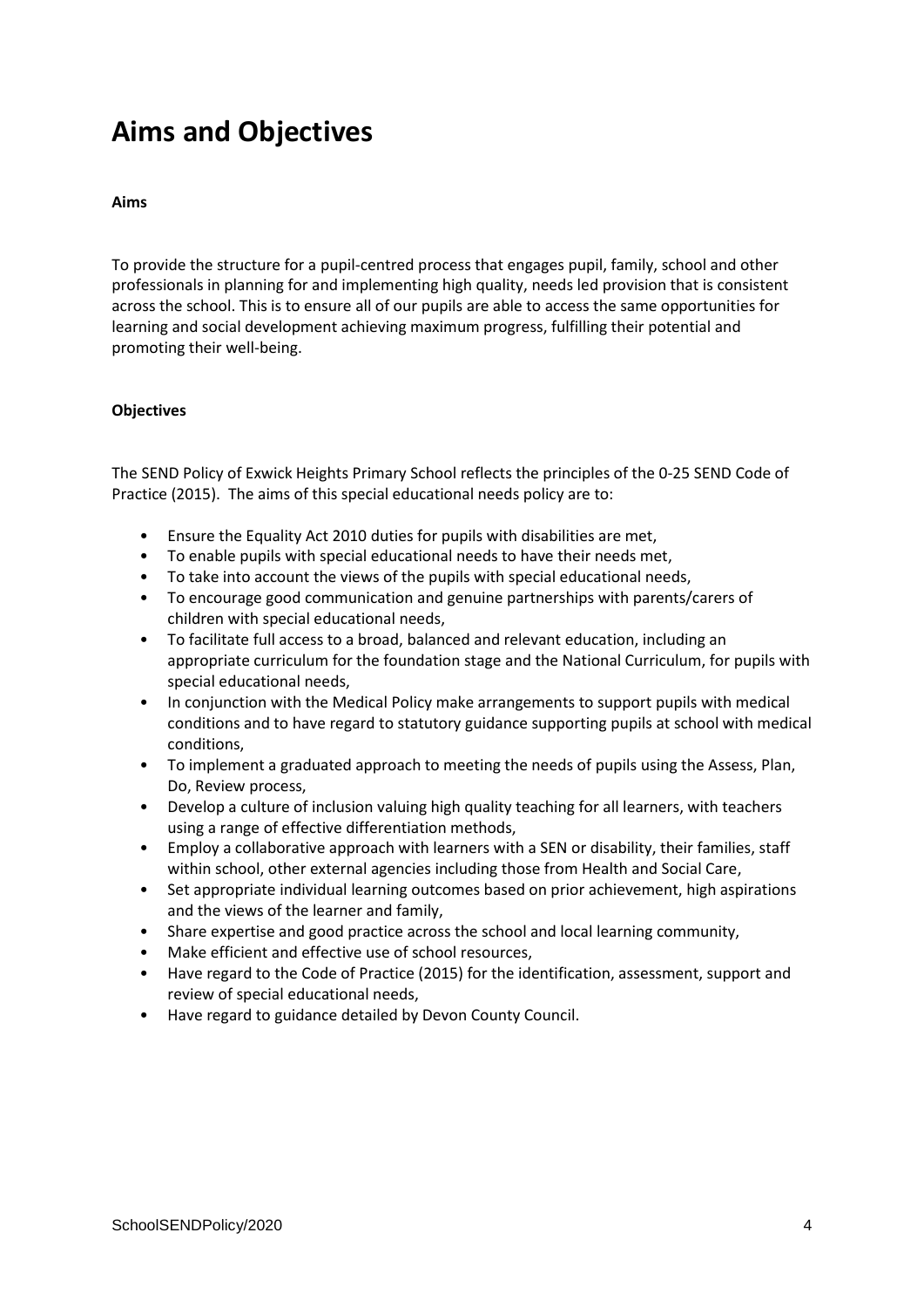### **Aims and Objectives**

#### **Aims**

To provide the structure for a pupil-centred process that engages pupil, family, school and other professionals in planning for and implementing high quality, needs led provision that is consistent across the school. This is to ensure all of our pupils are able to access the same opportunities for learning and social development achieving maximum progress, fulfilling their potential and promoting their well-being.

#### **Objectives**

The SEND Policy of Exwick Heights Primary School reflects the principles of the 0-25 SEND Code of Practice (2015). The aims of this special educational needs policy are to:

- Ensure the Equality Act 2010 duties for pupils with disabilities are met,
- To enable pupils with special educational needs to have their needs met,
- To take into account the views of the pupils with special educational needs,
- To encourage good communication and genuine partnerships with parents/carers of children with special educational needs,
- To facilitate full access to a broad, balanced and relevant education, including an appropriate curriculum for the foundation stage and the National Curriculum, for pupils with special educational needs,
- In conjunction with the Medical Policy make arrangements to support pupils with medical conditions and to have regard to statutory guidance supporting pupils at school with medical conditions,
- To implement a graduated approach to meeting the needs of pupils using the Assess, Plan, Do, Review process,
- Develop a culture of inclusion valuing high quality teaching for all learners, with teachers using a range of effective differentiation methods,
- Employ a collaborative approach with learners with a SEN or disability, their families, staff within school, other external agencies including those from Health and Social Care,
- Set appropriate individual learning outcomes based on prior achievement, high aspirations and the views of the learner and family,
- Share expertise and good practice across the school and local learning community,
- Make efficient and effective use of school resources,
- Have regard to the Code of Practice (2015) for the identification, assessment, support and review of special educational needs,
- Have regard to guidance detailed by Devon County Council.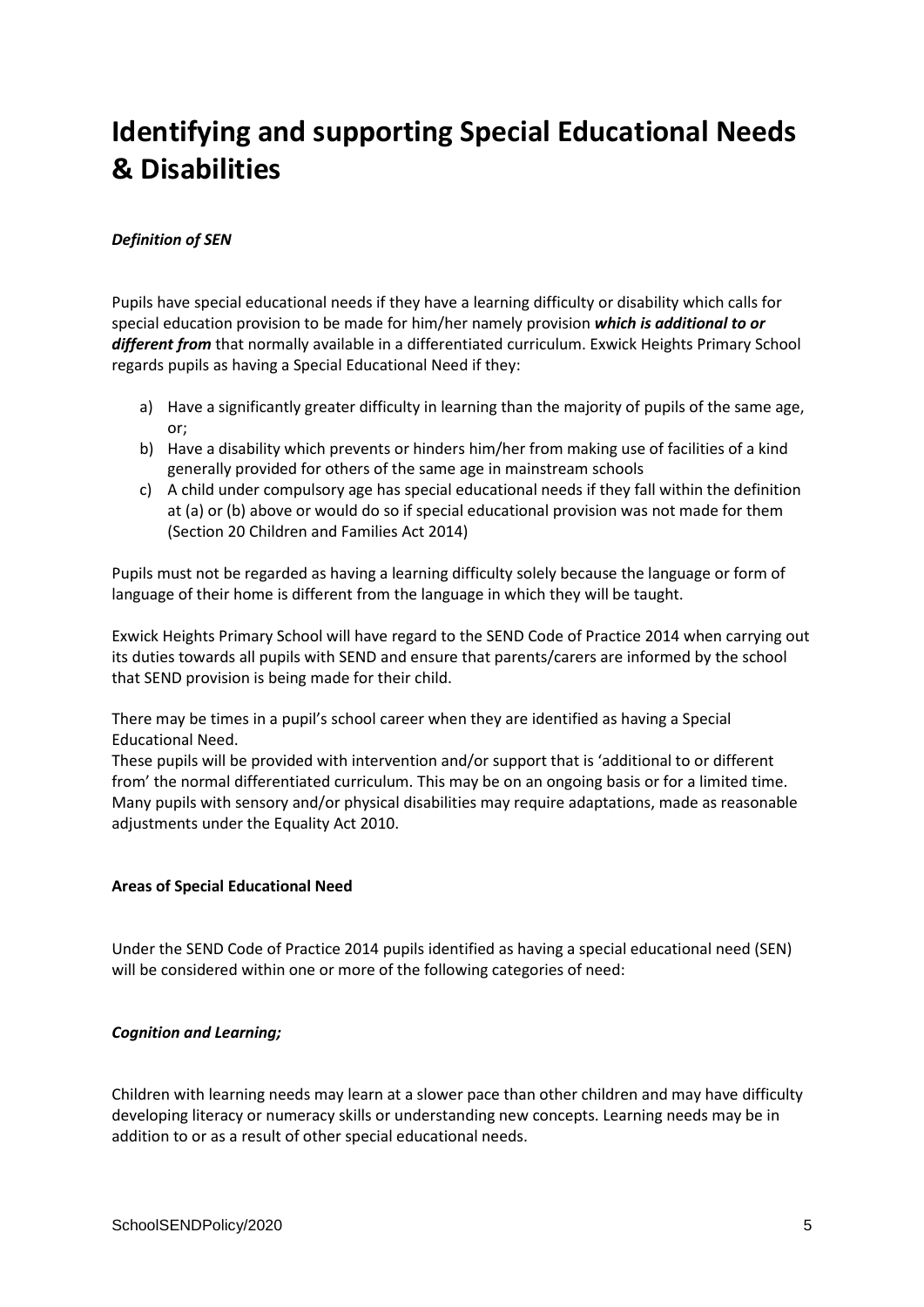## **Identifying and supporting Special Educational Needs & Disabilities**

#### *Definition of SEN*

Pupils have special educational needs if they have a learning difficulty or disability which calls for special education provision to be made for him/her namely provision *which is additional to or different from* that normally available in a differentiated curriculum. Exwick Heights Primary School regards pupils as having a Special Educational Need if they:

- a) Have a significantly greater difficulty in learning than the majority of pupils of the same age, or;
- b) Have a disability which prevents or hinders him/her from making use of facilities of a kind generally provided for others of the same age in mainstream schools
- c) A child under compulsory age has special educational needs if they fall within the definition at (a) or (b) above or would do so if special educational provision was not made for them (Section 20 Children and Families Act 2014)

Pupils must not be regarded as having a learning difficulty solely because the language or form of language of their home is different from the language in which they will be taught.

Exwick Heights Primary School will have regard to the SEND Code of Practice 2014 when carrying out its duties towards all pupils with SEND and ensure that parents/carers are informed by the school that SEND provision is being made for their child.

There may be times in a pupil's school career when they are identified as having a Special Educational Need.

These pupils will be provided with intervention and/or support that is 'additional to or different from' the normal differentiated curriculum. This may be on an ongoing basis or for a limited time. Many pupils with sensory and/or physical disabilities may require adaptations, made as reasonable adjustments under the Equality Act 2010.

#### **Areas of Special Educational Need**

Under the SEND Code of Practice 2014 pupils identified as having a special educational need (SEN) will be considered within one or more of the following categories of need:

#### *Cognition and Learning;*

Children with learning needs may learn at a slower pace than other children and may have difficulty developing literacy or numeracy skills or understanding new concepts. Learning needs may be in addition to or as a result of other special educational needs.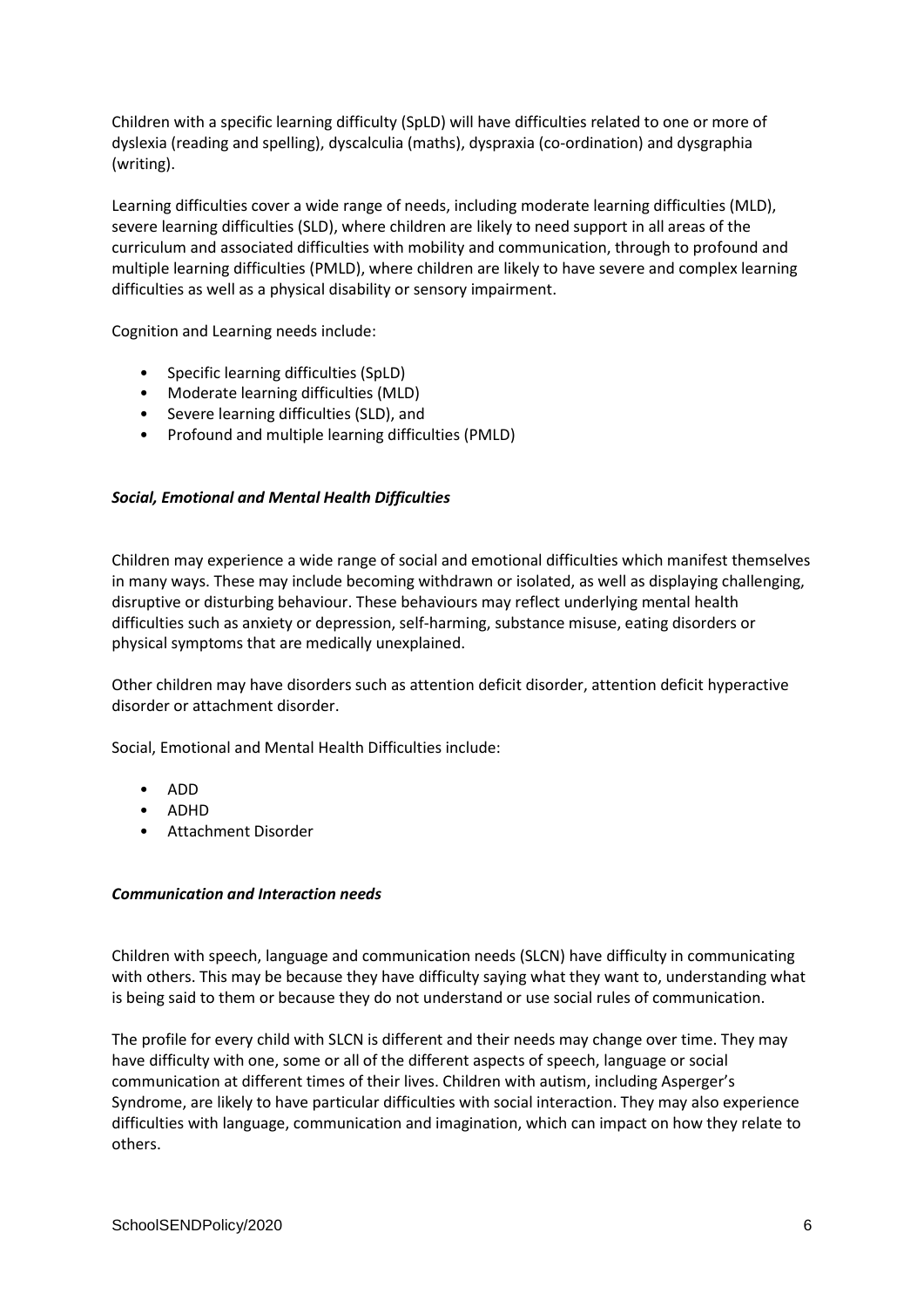Children with a specific learning difficulty (SpLD) will have difficulties related to one or more of dyslexia (reading and spelling), dyscalculia (maths), dyspraxia (co-ordination) and dysgraphia (writing).

Learning difficulties cover a wide range of needs, including moderate learning difficulties (MLD), severe learning difficulties (SLD), where children are likely to need support in all areas of the curriculum and associated difficulties with mobility and communication, through to profound and multiple learning difficulties (PMLD), where children are likely to have severe and complex learning difficulties as well as a physical disability or sensory impairment.

Cognition and Learning needs include:

- Specific learning difficulties (SpLD)
- Moderate learning difficulties (MLD)
- Severe learning difficulties (SLD), and
- Profound and multiple learning difficulties (PMLD)

#### *Social, Emotional and Mental Health Difficulties*

Children may experience a wide range of social and emotional difficulties which manifest themselves in many ways. These may include becoming withdrawn or isolated, as well as displaying challenging, disruptive or disturbing behaviour. These behaviours may reflect underlying mental health difficulties such as anxiety or depression, self-harming, substance misuse, eating disorders or physical symptoms that are medically unexplained.

Other children may have disorders such as attention deficit disorder, attention deficit hyperactive disorder or attachment disorder.

Social, Emotional and Mental Health Difficulties include:

- ADD
- ADHD
- Attachment Disorder

#### *Communication and Interaction needs*

Children with speech, language and communication needs (SLCN) have difficulty in communicating with others. This may be because they have difficulty saying what they want to, understanding what is being said to them or because they do not understand or use social rules of communication.

The profile for every child with SLCN is different and their needs may change over time. They may have difficulty with one, some or all of the different aspects of speech, language or social communication at different times of their lives. Children with autism, including Asperger's Syndrome, are likely to have particular difficulties with social interaction. They may also experience difficulties with language, communication and imagination, which can impact on how they relate to others.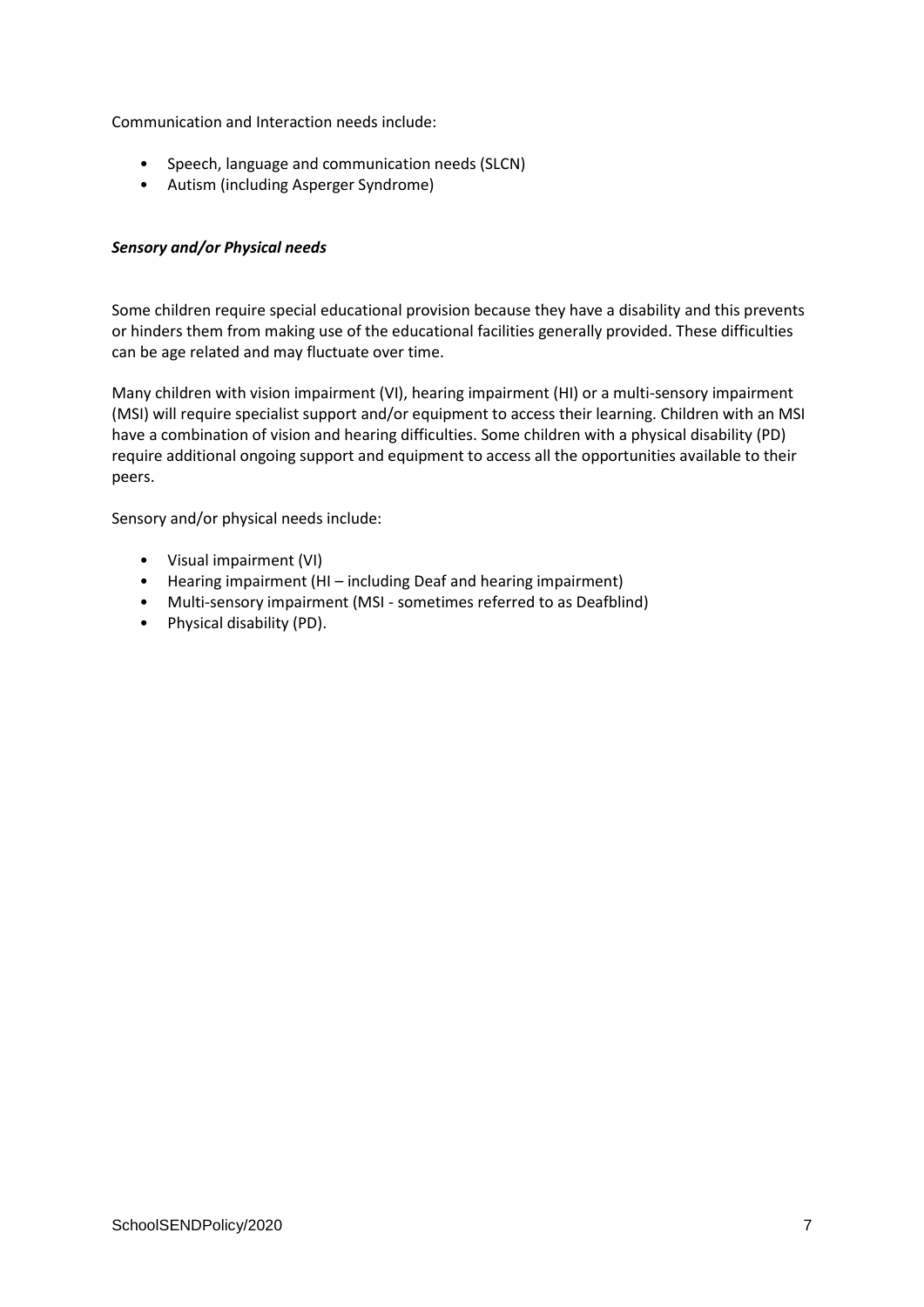Communication and Interaction needs include:

- Speech, language and communication needs (SLCN)
- Autism (including Asperger Syndrome)

#### *Sensory and/or Physical needs*

Some children require special educational provision because they have a disability and this prevents or hinders them from making use of the educational facilities generally provided. These difficulties can be age related and may fluctuate over time.

Many children with vision impairment (VI), hearing impairment (HI) or a multi-sensory impairment (MSI) will require specialist support and/or equipment to access their learning. Children with an MSI have a combination of vision and hearing difficulties. Some children with a physical disability (PD) require additional ongoing support and equipment to access all the opportunities available to their peers.

Sensory and/or physical needs include:

- Visual impairment (VI)
- Hearing impairment (HI including Deaf and hearing impairment)
- Multi-sensory impairment (MSI sometimes referred to as Deafblind)
- Physical disability (PD).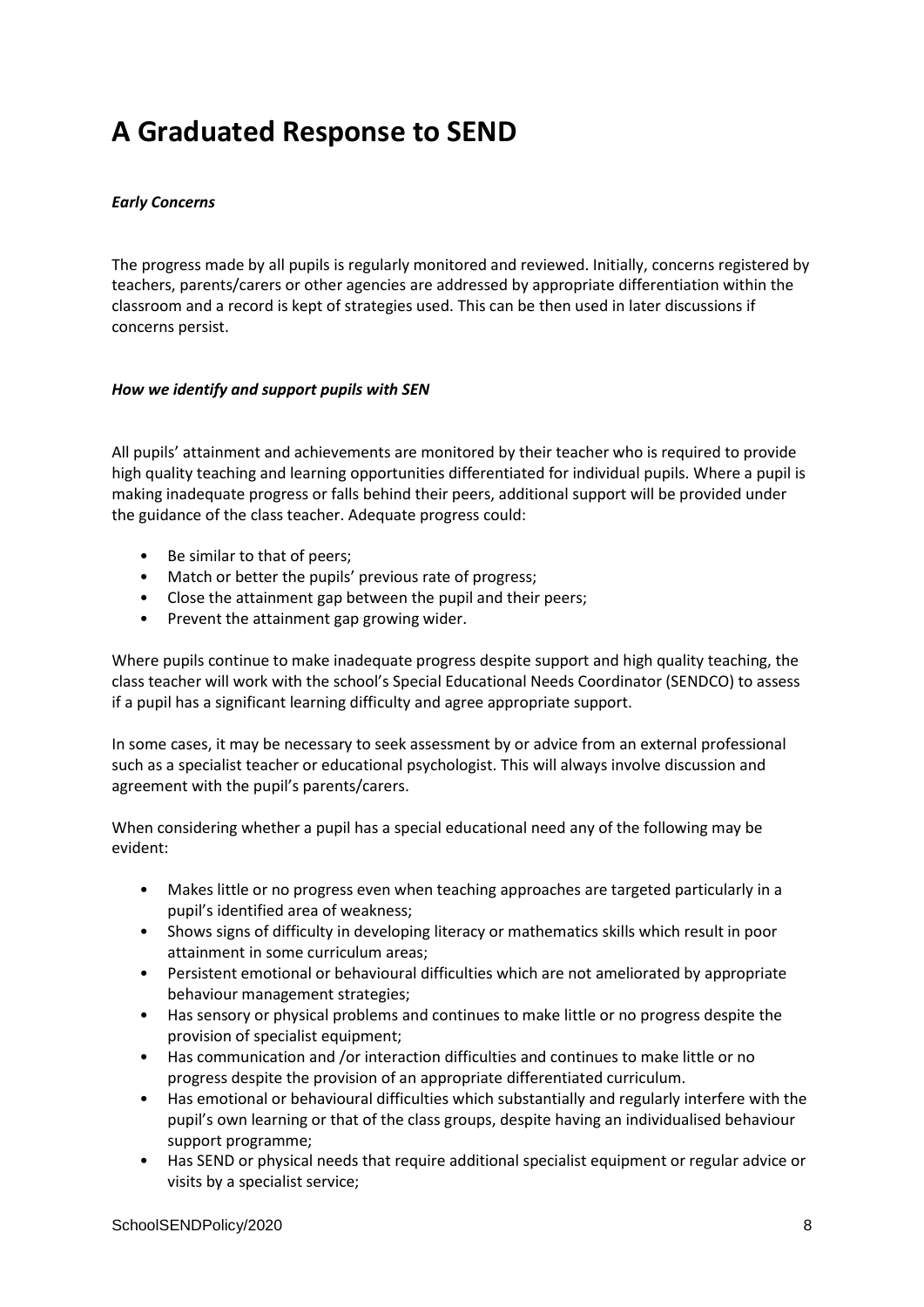### **A Graduated Response to SEND**

#### *Early Concerns*

The progress made by all pupils is regularly monitored and reviewed. Initially, concerns registered by teachers, parents/carers or other agencies are addressed by appropriate differentiation within the classroom and a record is kept of strategies used. This can be then used in later discussions if concerns persist.

#### *How we identify and support pupils with SEN*

All pupils' attainment and achievements are monitored by their teacher who is required to provide high quality teaching and learning opportunities differentiated for individual pupils. Where a pupil is making inadequate progress or falls behind their peers, additional support will be provided under the guidance of the class teacher. Adequate progress could:

- Be similar to that of peers;
- Match or better the pupils' previous rate of progress;
- Close the attainment gap between the pupil and their peers;
- Prevent the attainment gap growing wider.

Where pupils continue to make inadequate progress despite support and high quality teaching, the class teacher will work with the school's Special Educational Needs Coordinator (SENDCO) to assess if a pupil has a significant learning difficulty and agree appropriate support.

In some cases, it may be necessary to seek assessment by or advice from an external professional such as a specialist teacher or educational psychologist. This will always involve discussion and agreement with the pupil's parents/carers.

When considering whether a pupil has a special educational need any of the following may be evident:

- Makes little or no progress even when teaching approaches are targeted particularly in a pupil's identified area of weakness;
- Shows signs of difficulty in developing literacy or mathematics skills which result in poor attainment in some curriculum areas;
- Persistent emotional or behavioural difficulties which are not ameliorated by appropriate behaviour management strategies;
- Has sensory or physical problems and continues to make little or no progress despite the provision of specialist equipment;
- Has communication and /or interaction difficulties and continues to make little or no progress despite the provision of an appropriate differentiated curriculum.
- Has emotional or behavioural difficulties which substantially and regularly interfere with the pupil's own learning or that of the class groups, despite having an individualised behaviour support programme;
- Has SEND or physical needs that require additional specialist equipment or regular advice or visits by a specialist service;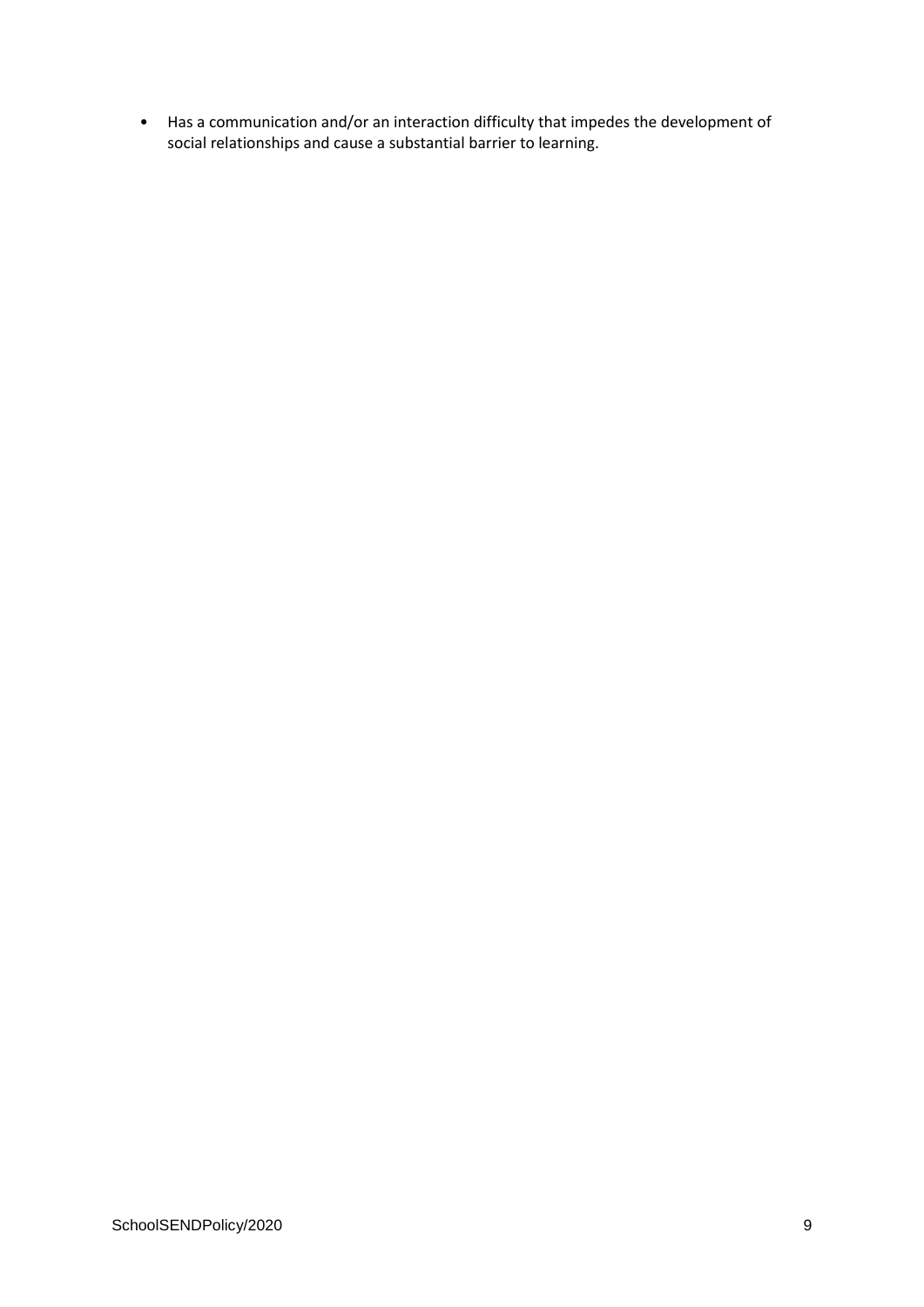• Has a communication and/or an interaction difficulty that impedes the development of social relationships and cause a substantial barrier to learning.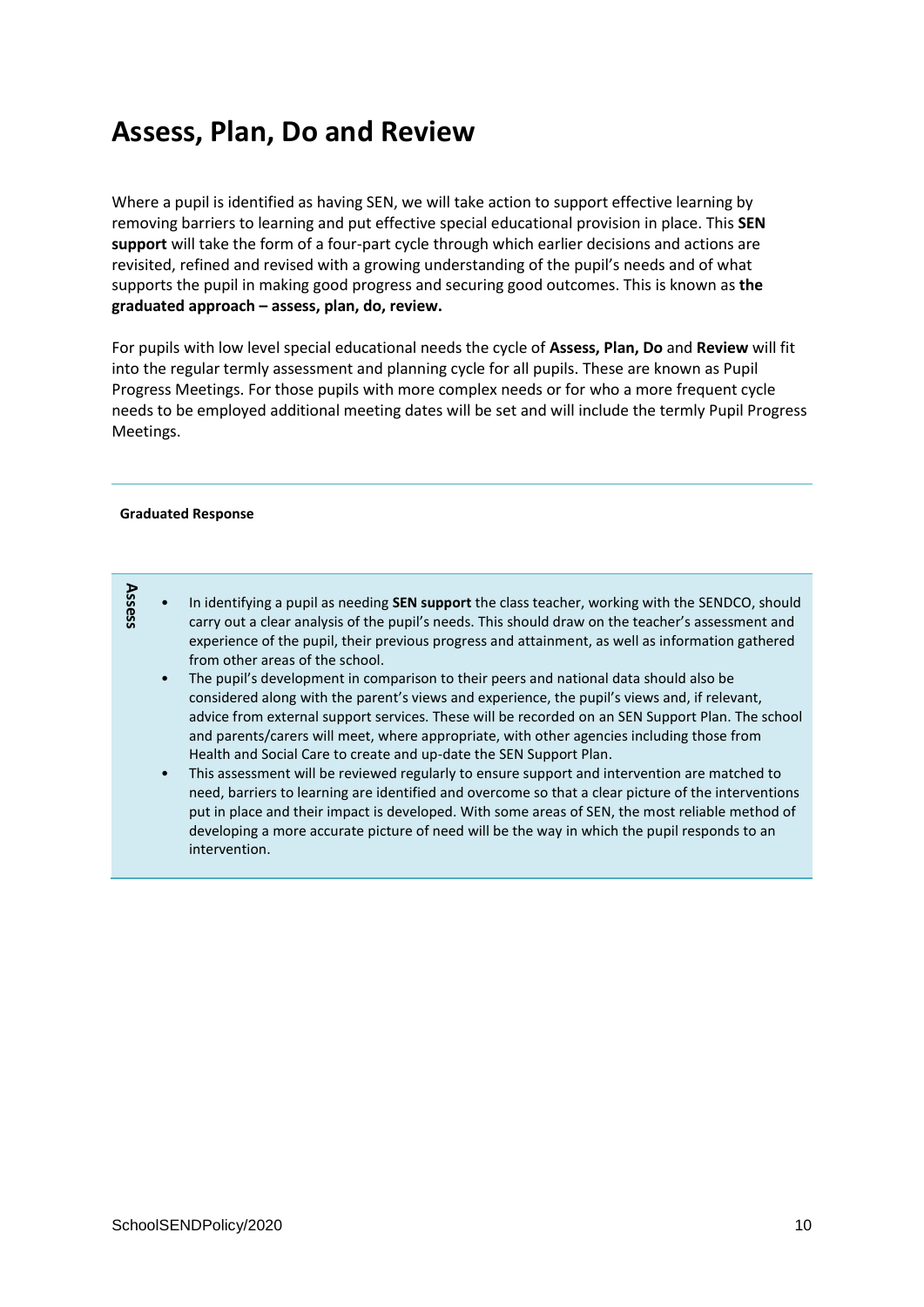### **Assess, Plan, Do and Review**

Where a pupil is identified as having SEN, we will take action to support effective learning by removing barriers to learning and put effective special educational provision in place. This **SEN support** will take the form of a four-part cycle through which earlier decisions and actions are revisited, refined and revised with a growing understanding of the pupil's needs and of what supports the pupil in making good progress and securing good outcomes. This is known as **the graduated approach – assess, plan, do, review.** 

For pupils with low level special educational needs the cycle of **Assess, Plan, Do** and **Review** will fit into the regular termly assessment and planning cycle for all pupils. These are known as Pupil Progress Meetings. For those pupils with more complex needs or for who a more frequent cycle needs to be employed additional meeting dates will be set and will include the termly Pupil Progress Meetings.

#### **Graduated Response**

**Assess**

| In identifying a pupil as needing <b>SEN support</b> the class teacher, working with the SENDCO, should |
|---------------------------------------------------------------------------------------------------------|
| carry out a clear analysis of the pupil's needs. This should draw on the teacher's assessment and       |
| experience of the pupil, their previous progress and attainment, as well as information gathered        |
| from other areas of the school.                                                                         |

- The pupil's development in comparison to their peers and national data should also be considered along with the parent's views and experience, the pupil's views and, if relevant, advice from external support services. These will be recorded on an SEN Support Plan. The school and parents/carers will meet, where appropriate, with other agencies including those from Health and Social Care to create and up-date the SEN Support Plan.
- This assessment will be reviewed regularly to ensure support and intervention are matched to need, barriers to learning are identified and overcome so that a clear picture of the interventions put in place and their impact is developed. With some areas of SEN, the most reliable method of developing a more accurate picture of need will be the way in which the pupil responds to an intervention.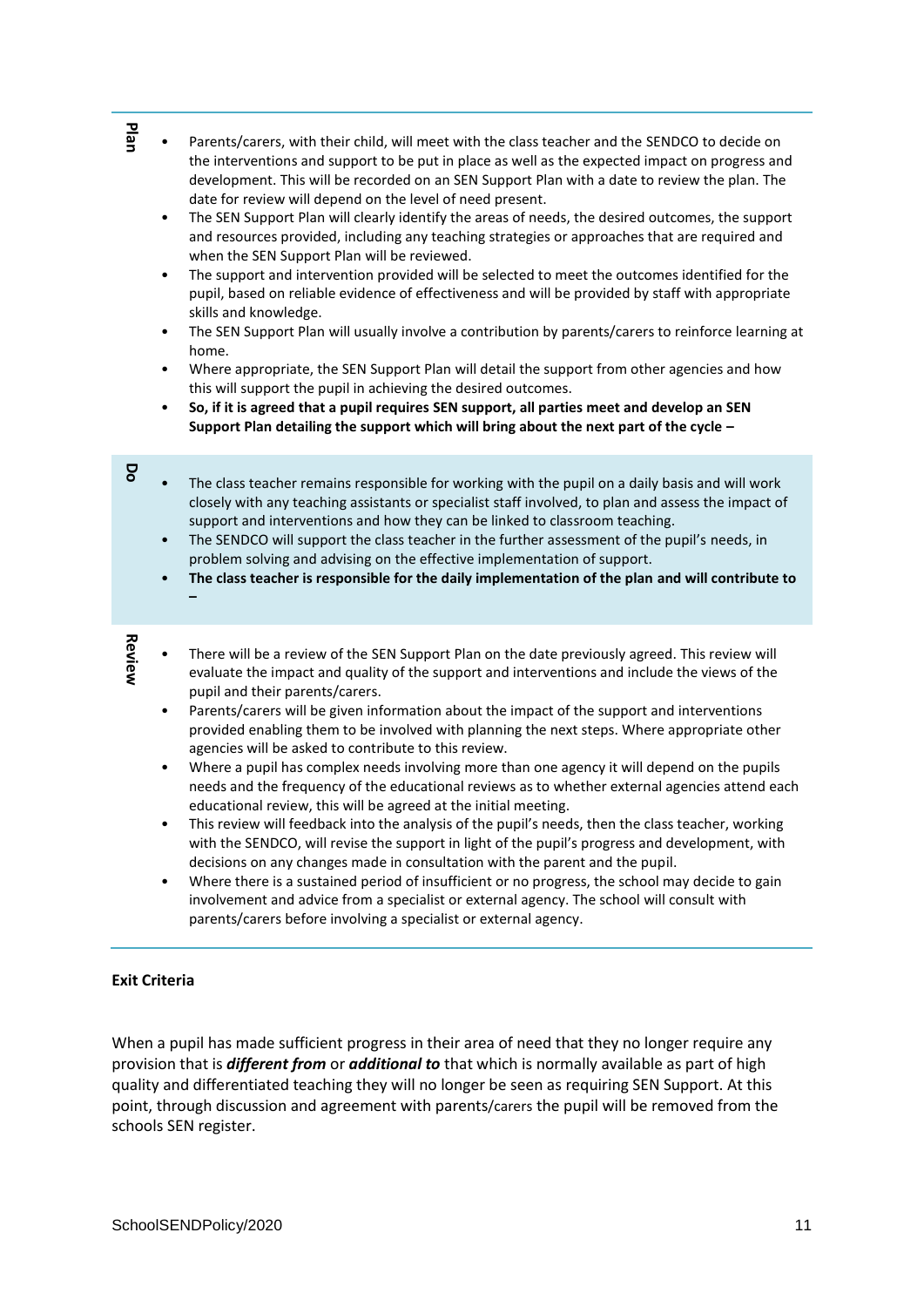- Parents/carers, with their child, will meet with the class teacher and the SENDCO to decide on the interventions and support to be put in place as well as the expected impact on progress and development. This will be recorded on an SEN Support Plan with a date to review the plan. The date for review will depend on the level of need present.
- The SEN Support Plan will clearly identify the areas of needs, the desired outcomes, the support and resources provided, including any teaching strategies or approaches that are required and when the SEN Support Plan will be reviewed.
- The support and intervention provided will be selected to meet the outcomes identified for the pupil, based on reliable evidence of effectiveness and will be provided by staff with appropriate skills and knowledge.
- The SEN Support Plan will usually involve a contribution by parents/carers to reinforce learning at home.
- Where appropriate, the SEN Support Plan will detail the support from other agencies and how this will support the pupil in achieving the desired outcomes.
- **So, if it is agreed that a pupil requires SEN support, all parties meet and develop an SEN Support Plan detailing the support which will bring about the next part of the cycle –**
- The class teacher remains responsible for working with the pupil on a daily basis and will work closely with any teaching assistants or specialist staff involved, to plan and assess the impact of support and interventions and how they can be linked to classroom teaching.
	- The SENDCO will support the class teacher in the further assessment of the pupil's needs, in problem solving and advising on the effective implementation of support.
	- **The class teacher is responsible for the daily implementation of the plan and will contribute to**

**Review**

**–**

**Do**

- There will be a review of the SEN Support Plan on the date previously agreed. This review will evaluate the impact and quality of the support and interventions and include the views of the pupil and their parents/carers.
- Parents/carers will be given information about the impact of the support and interventions provided enabling them to be involved with planning the next steps. Where appropriate other agencies will be asked to contribute to this review.
- Where a pupil has complex needs involving more than one agency it will depend on the pupils needs and the frequency of the educational reviews as to whether external agencies attend each educational review, this will be agreed at the initial meeting.
- This review will feedback into the analysis of the pupil's needs, then the class teacher, working with the SENDCO, will revise the support in light of the pupil's progress and development, with decisions on any changes made in consultation with the parent and the pupil.
- Where there is a sustained period of insufficient or no progress, the school may decide to gain involvement and advice from a specialist or external agency. The school will consult with parents/carers before involving a specialist or external agency.

#### **Exit Criteria**

Source the technology in the chain of the bitsto track variety and the Statistical contents of the statistical contents of the statistical contents of the statistical contents of the statistical contents of the statistical When a pupil has made sufficient progress in their area of need that they no longer require any provision that is *different from* or *additional to* that which is normally available as part of high quality and differentiated teaching they will no longer be seen as requiring SEN Support. At this point, through discussion and agreement with parents/carers the pupil will be removed from the schools SEN register.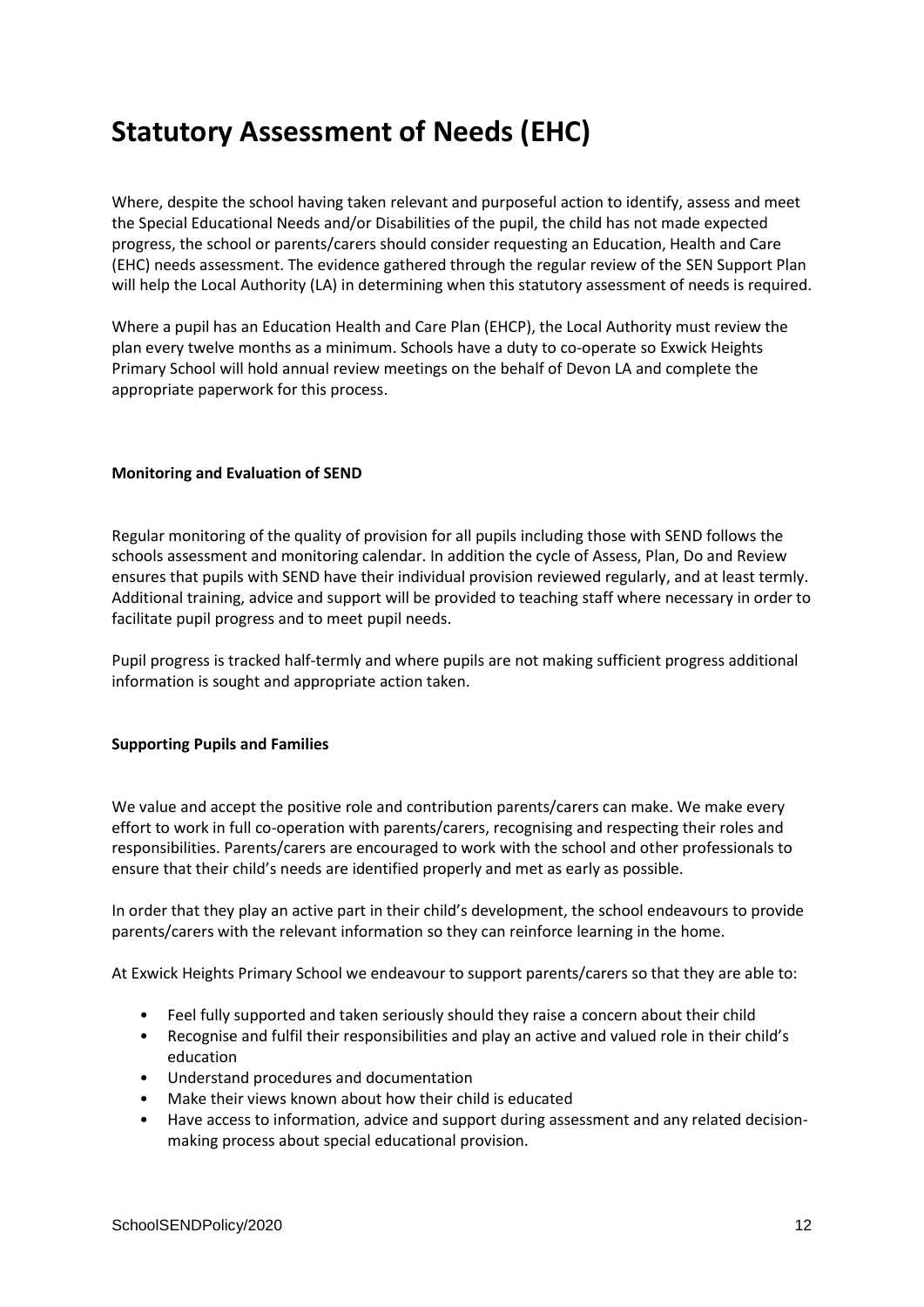### **Statutory Assessment of Needs (EHC)**

Where, despite the school having taken relevant and purposeful action to identify, assess and meet the Special Educational Needs and/or Disabilities of the pupil, the child has not made expected progress, the school or parents/carers should consider requesting an Education, Health and Care (EHC) needs assessment. The evidence gathered through the regular review of the SEN Support Plan will help the Local Authority (LA) in determining when this statutory assessment of needs is required.

Where a pupil has an Education Health and Care Plan (EHCP), the Local Authority must review the plan every twelve months as a minimum. Schools have a duty to co-operate so Exwick Heights Primary School will hold annual review meetings on the behalf of Devon LA and complete the appropriate paperwork for this process.

#### **Monitoring and Evaluation of SEND**

Regular monitoring of the quality of provision for all pupils including those with SEND follows the schools assessment and monitoring calendar. In addition the cycle of Assess, Plan, Do and Review ensures that pupils with SEND have their individual provision reviewed regularly, and at least termly. Additional training, advice and support will be provided to teaching staff where necessary in order to facilitate pupil progress and to meet pupil needs.

Pupil progress is tracked half-termly and where pupils are not making sufficient progress additional information is sought and appropriate action taken.

#### **Supporting Pupils and Families**

We value and accept the positive role and contribution parents/carers can make. We make every effort to work in full co-operation with parents/carers, recognising and respecting their roles and responsibilities. Parents/carers are encouraged to work with the school and other professionals to ensure that their child's needs are identified properly and met as early as possible.

In order that they play an active part in their child's development, the school endeavours to provide parents/carers with the relevant information so they can reinforce learning in the home.

At Exwick Heights Primary School we endeavour to support parents/carers so that they are able to:

- Feel fully supported and taken seriously should they raise a concern about their child
- Recognise and fulfil their responsibilities and play an active and valued role in their child's education
- Understand procedures and documentation
- Make their views known about how their child is educated
- Have access to information, advice and support during assessment and any related decisionmaking process about special educational provision.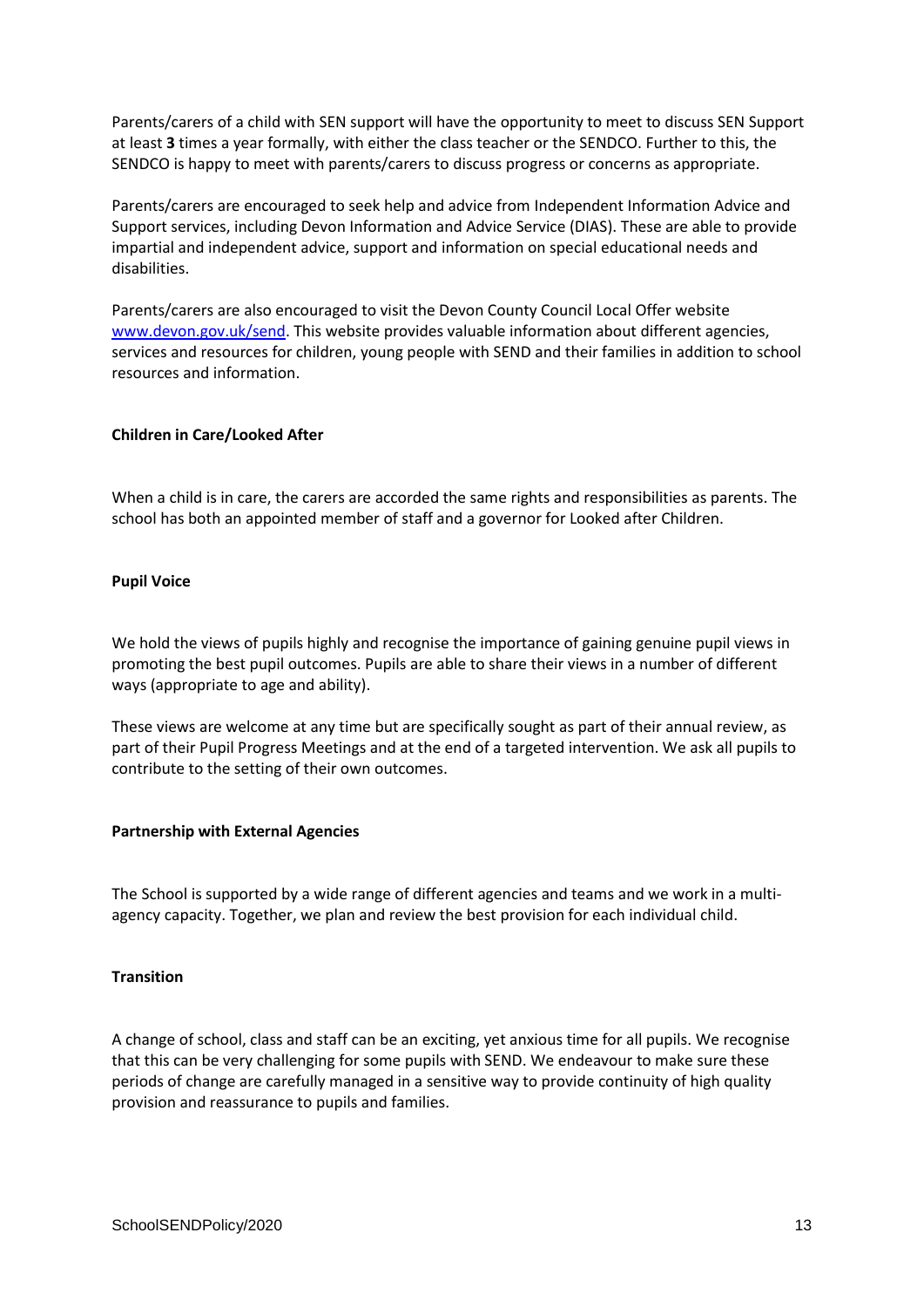Parents/carers of a child with SEN support will have the opportunity to meet to discuss SEN Support at least **3** times a year formally, with either the class teacher or the SENDCO. Further to this, the SENDCO is happy to meet with parents/carers to discuss progress or concerns as appropriate.

Parents/carers are encouraged to seek help and advice from Independent Information Advice and Support services, including Devon Information and Advice Service (DIAS). These are able to provide impartial and independent advice, support and information on special educational needs and disabilities.

Parents/carers are also encouraged to visit the Devon County Council Local Offer website [www.devon.gov.uk/send.](http://www.devon.gov.uk/send) This website provides valuable information about different agencies, services and resources for children, young people with SEND and their families in addition to school resources and information.

#### **Children in Care/Looked After**

When a child is in care, the carers are accorded the same rights and responsibilities as parents. The school has both an appointed member of staff and a governor for Looked after Children.

#### **Pupil Voice**

We hold the views of pupils highly and recognise the importance of gaining genuine pupil views in promoting the best pupil outcomes. Pupils are able to share their views in a number of different ways (appropriate to age and ability).

These views are welcome at any time but are specifically sought as part of their annual review, as part of their Pupil Progress Meetings and at the end of a targeted intervention. We ask all pupils to contribute to the setting of their own outcomes.

#### **Partnership with External Agencies**

The School is supported by a wide range of different agencies and teams and we work in a multiagency capacity. Together, we plan and review the best provision for each individual child.

#### **Transition**

A change of school, class and staff can be an exciting, yet anxious time for all pupils. We recognise that this can be very challenging for some pupils with SEND. We endeavour to make sure these periods of change are carefully managed in a sensitive way to provide continuity of high quality provision and reassurance to pupils and families.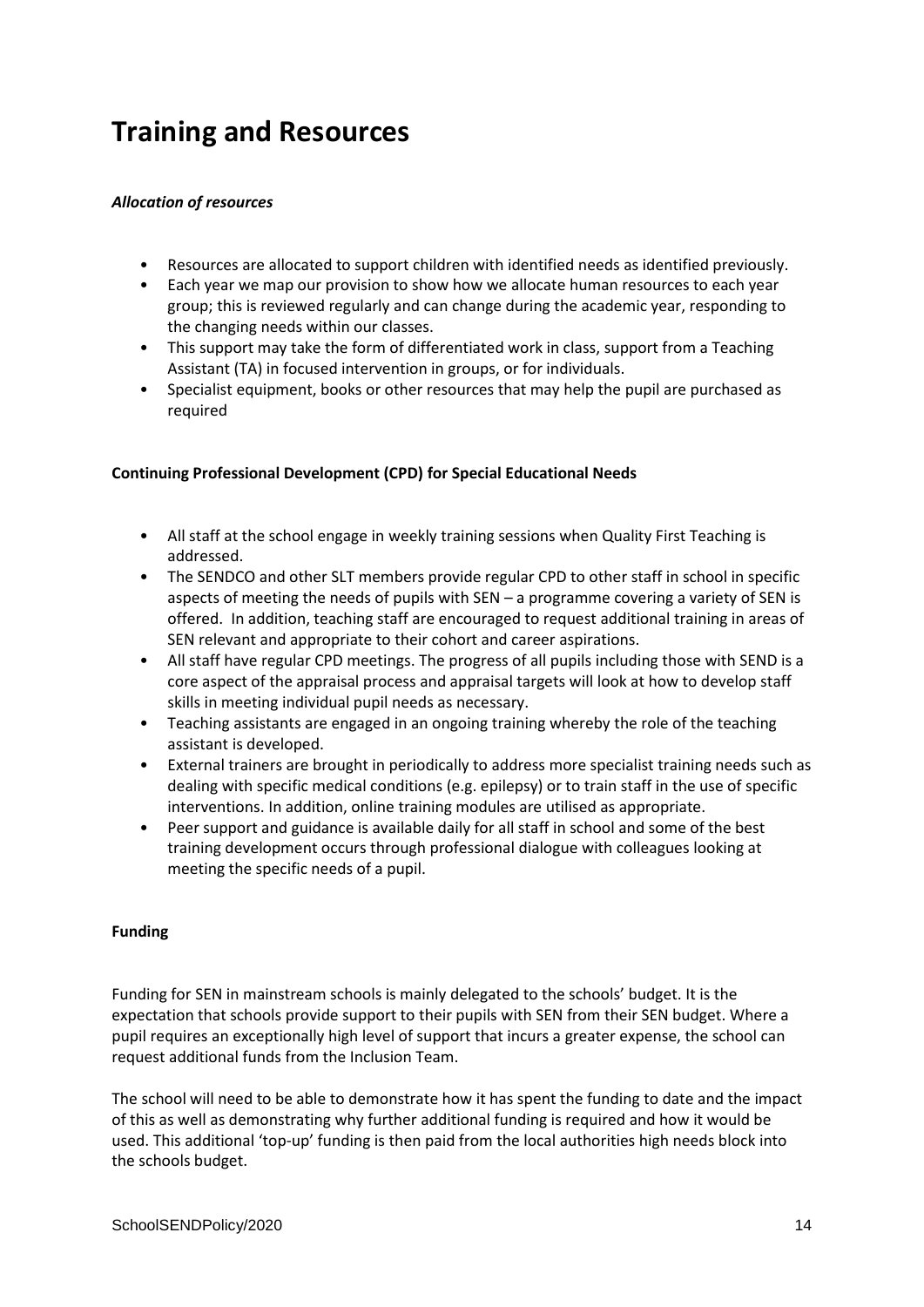### **Training and Resources**

#### *Allocation of resources*

- Resources are allocated to support children with identified needs as identified previously.
- Each year we map our provision to show how we allocate human resources to each year group; this is reviewed regularly and can change during the academic year, responding to the changing needs within our classes.
- This support may take the form of differentiated work in class, support from a Teaching Assistant (TA) in focused intervention in groups, or for individuals.
- Specialist equipment, books or other resources that may help the pupil are purchased as required

#### **Continuing Professional Development (CPD) for Special Educational Needs**

- All staff at the school engage in weekly training sessions when Quality First Teaching is addressed.
- The SENDCO and other SLT members provide regular CPD to other staff in school in specific aspects of meeting the needs of pupils with SEN – a programme covering a variety of SEN is offered. In addition, teaching staff are encouraged to request additional training in areas of SEN relevant and appropriate to their cohort and career aspirations.
- All staff have regular CPD meetings. The progress of all pupils including those with SEND is a core aspect of the appraisal process and appraisal targets will look at how to develop staff skills in meeting individual pupil needs as necessary.
- Teaching assistants are engaged in an ongoing training whereby the role of the teaching assistant is developed.
- External trainers are brought in periodically to address more specialist training needs such as dealing with specific medical conditions (e.g. epilepsy) or to train staff in the use of specific interventions. In addition, online training modules are utilised as appropriate.
- Peer support and guidance is available daily for all staff in school and some of the best training development occurs through professional dialogue with colleagues looking at meeting the specific needs of a pupil.

### **Funding**

Funding for SEN in mainstream schools is mainly delegated to the schools' budget. It is the expectation that schools provide support to their pupils with SEN from their SEN budget. Where a pupil requires an exceptionally high level of support that incurs a greater expense, the school can request additional funds from the Inclusion Team.

The school will need to be able to demonstrate how it has spent the funding to date and the impact of this as well as demonstrating why further additional funding is required and how it would be used. This additional 'top-up' funding is then paid from the local authorities high needs block into the schools budget.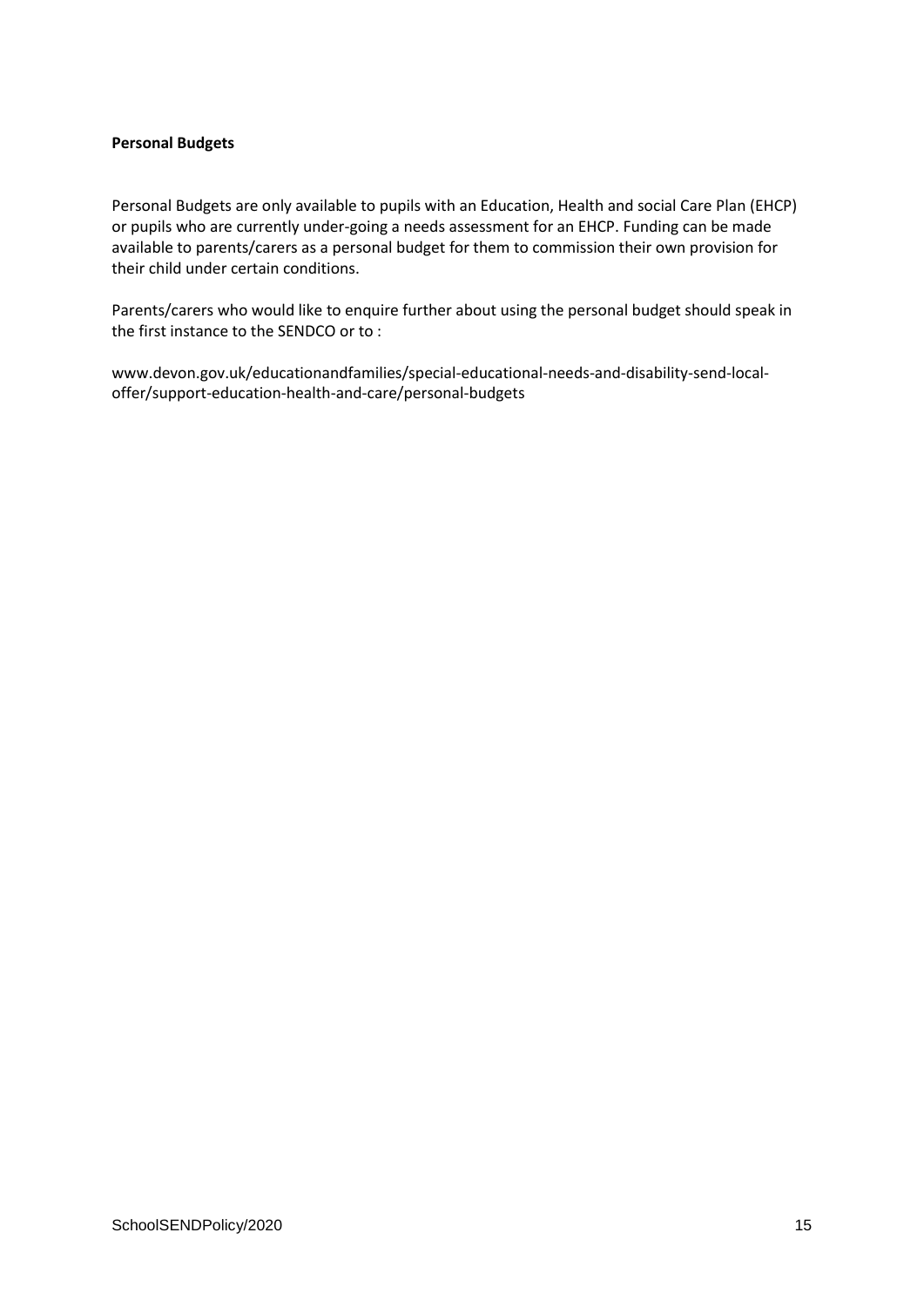#### **Personal Budgets**

Personal Budgets are only available to pupils with an Education, Health and social Care Plan (EHCP) or pupils who are currently under-going a needs assessment for an EHCP. Funding can be made available to parents/carers as a personal budget for them to commission their own provision for their child under certain conditions.

Parents/carers who would like to enquire further about using the personal budget should speak in the first instance to the SENDCO or to :

www.devon.gov.uk/educationandfamilies/special-educational-needs-and-disability-send-localoffer/support-education-health-and-care/personal-budgets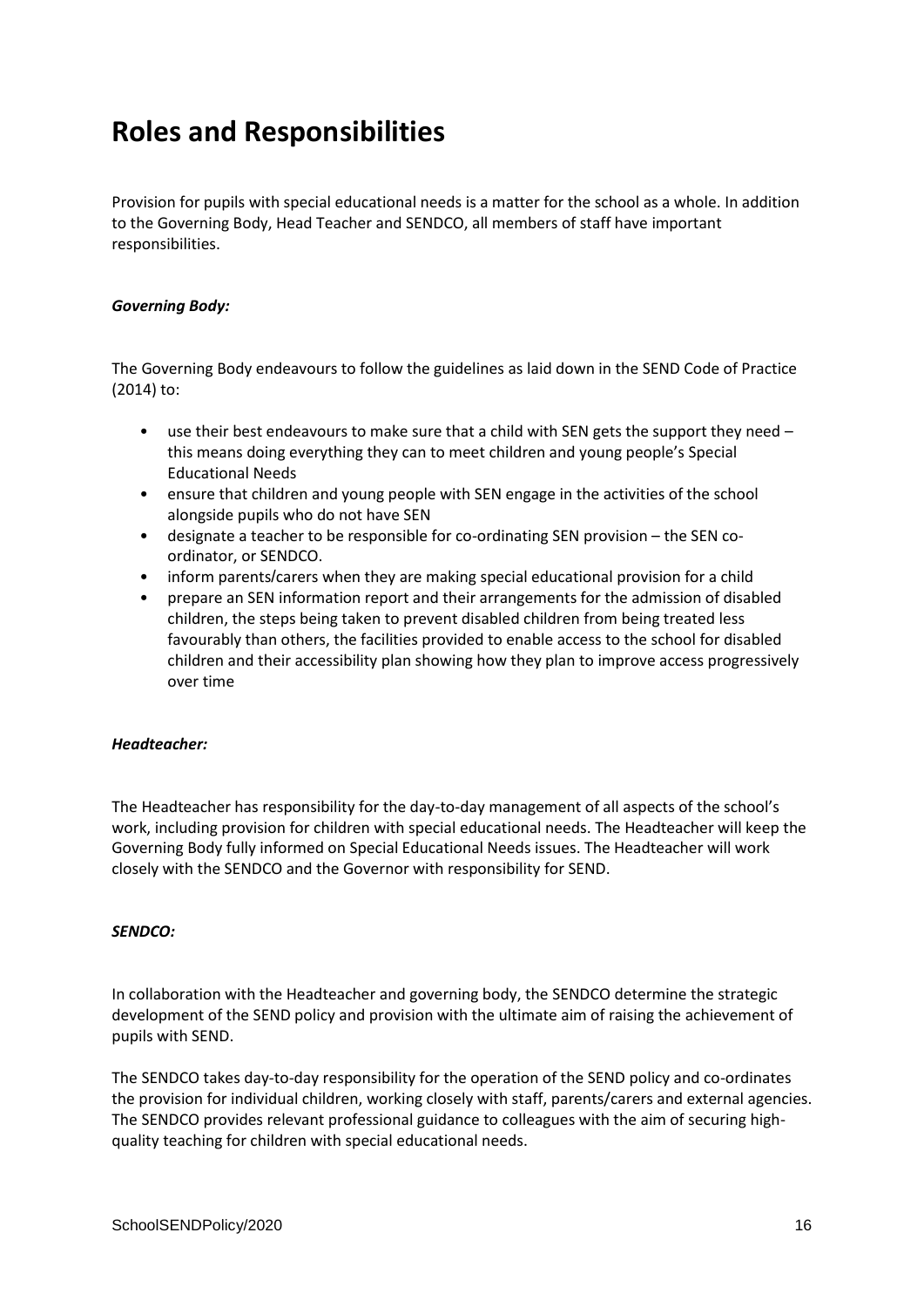### **Roles and Responsibilities**

Provision for pupils with special educational needs is a matter for the school as a whole. In addition to the Governing Body, Head Teacher and SENDCO, all members of staff have important responsibilities.

#### *Governing Body:*

The Governing Body endeavours to follow the guidelines as laid down in the SEND Code of Practice (2014) to:

- use their best endeavours to make sure that a child with SEN gets the support they need this means doing everything they can to meet children and young people's Special Educational Needs
- ensure that children and young people with SEN engage in the activities of the school alongside pupils who do not have SEN
- designate a teacher to be responsible for co-ordinating SEN provision the SEN coordinator, or SENDCO.
- inform parents/carers when they are making special educational provision for a child
- prepare an SEN information report and their arrangements for the admission of disabled children, the steps being taken to prevent disabled children from being treated less favourably than others, the facilities provided to enable access to the school for disabled children and their accessibility plan showing how they plan to improve access progressively over time

#### *Headteacher:*

The Headteacher has responsibility for the day-to-day management of all aspects of the school's work, including provision for children with special educational needs. The Headteacher will keep the Governing Body fully informed on Special Educational Needs issues. The Headteacher will work closely with the SENDCO and the Governor with responsibility for SEND.

#### *SENDCO:*

In collaboration with the Headteacher and governing body, the SENDCO determine the strategic development of the SEND policy and provision with the ultimate aim of raising the achievement of pupils with SEND.

The SENDCO takes day-to-day responsibility for the operation of the SEND policy and co-ordinates the provision for individual children, working closely with staff, parents/carers and external agencies. The SENDCO provides relevant professional guidance to colleagues with the aim of securing highquality teaching for children with special educational needs.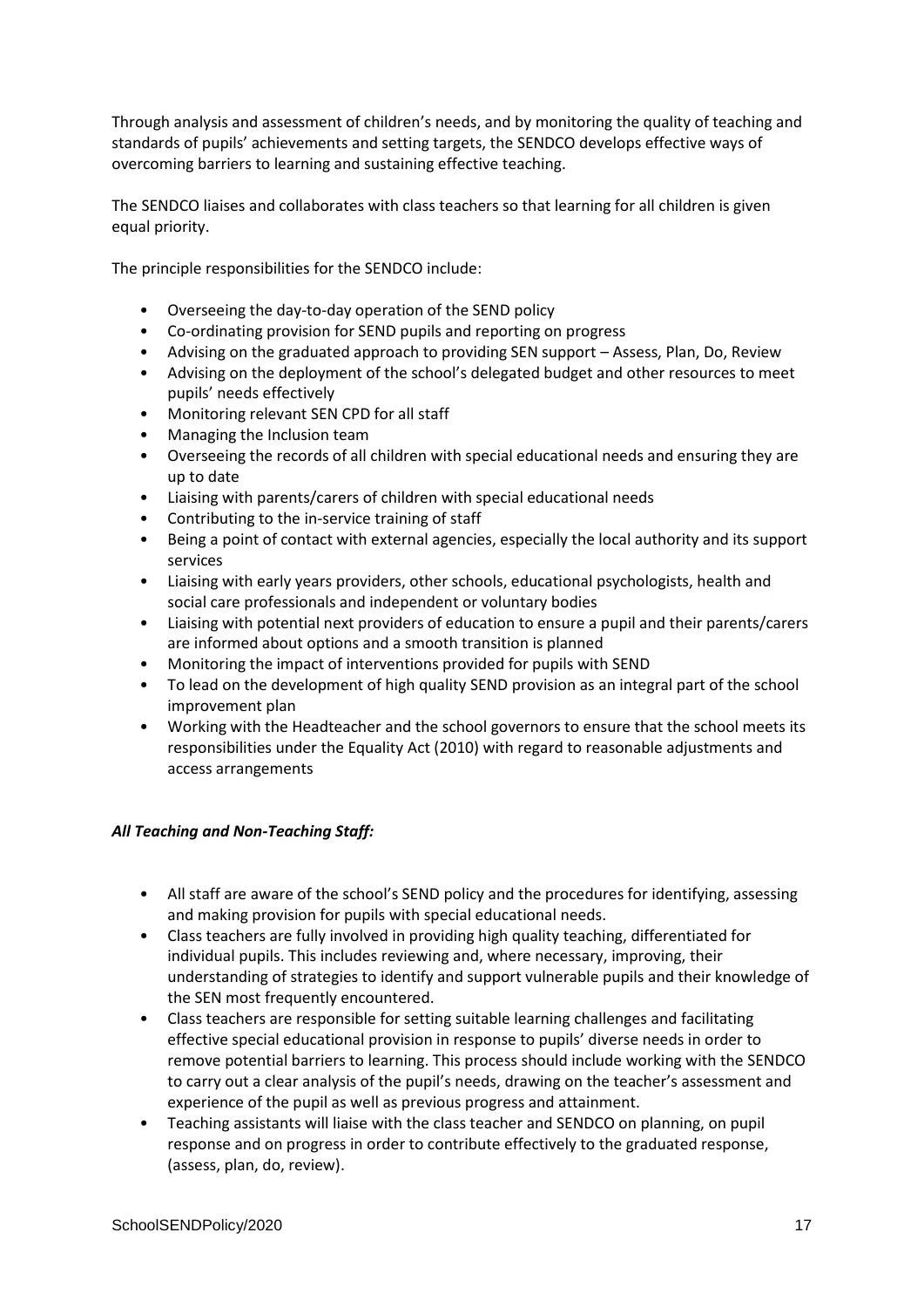Through analysis and assessment of children's needs, and by monitoring the quality of teaching and standards of pupils' achievements and setting targets, the SENDCO develops effective ways of overcoming barriers to learning and sustaining effective teaching.

The SENDCO liaises and collaborates with class teachers so that learning for all children is given equal priority.

The principle responsibilities for the SENDCO include:

- Overseeing the day-to-day operation of the SEND policy
- Co-ordinating provision for SEND pupils and reporting on progress
- Advising on the graduated approach to providing SEN support Assess, Plan, Do, Review
- Advising on the deployment of the school's delegated budget and other resources to meet pupils' needs effectively
- Monitoring relevant SEN CPD for all staff
- Managing the Inclusion team
- Overseeing the records of all children with special educational needs and ensuring they are up to date
- Liaising with parents/carers of children with special educational needs
- Contributing to the in-service training of staff
- Being a point of contact with external agencies, especially the local authority and its support services
- Liaising with early years providers, other schools, educational psychologists, health and social care professionals and independent or voluntary bodies
- Liaising with potential next providers of education to ensure a pupil and their parents/carers are informed about options and a smooth transition is planned
- Monitoring the impact of interventions provided for pupils with SEND
- To lead on the development of high quality SEND provision as an integral part of the school improvement plan
- Working with the Headteacher and the school governors to ensure that the school meets its responsibilities under the Equality Act (2010) with regard to reasonable adjustments and access arrangements

### *All Teaching and Non-Teaching Staff:*

- All staff are aware of the school's SEND policy and the procedures for identifying, assessing and making provision for pupils with special educational needs.
- Class teachers are fully involved in providing high quality teaching, differentiated for individual pupils. This includes reviewing and, where necessary, improving, their understanding of strategies to identify and support vulnerable pupils and their knowledge of the SEN most frequently encountered.
- Class teachers are responsible for setting suitable learning challenges and facilitating effective special educational provision in response to pupils' diverse needs in order to remove potential barriers to learning. This process should include working with the SENDCO to carry out a clear analysis of the pupil's needs, drawing on the teacher's assessment and experience of the pupil as well as previous progress and attainment.
- Teaching assistants will liaise with the class teacher and SENDCO on planning, on pupil response and on progress in order to contribute effectively to the graduated response, (assess, plan, do, review).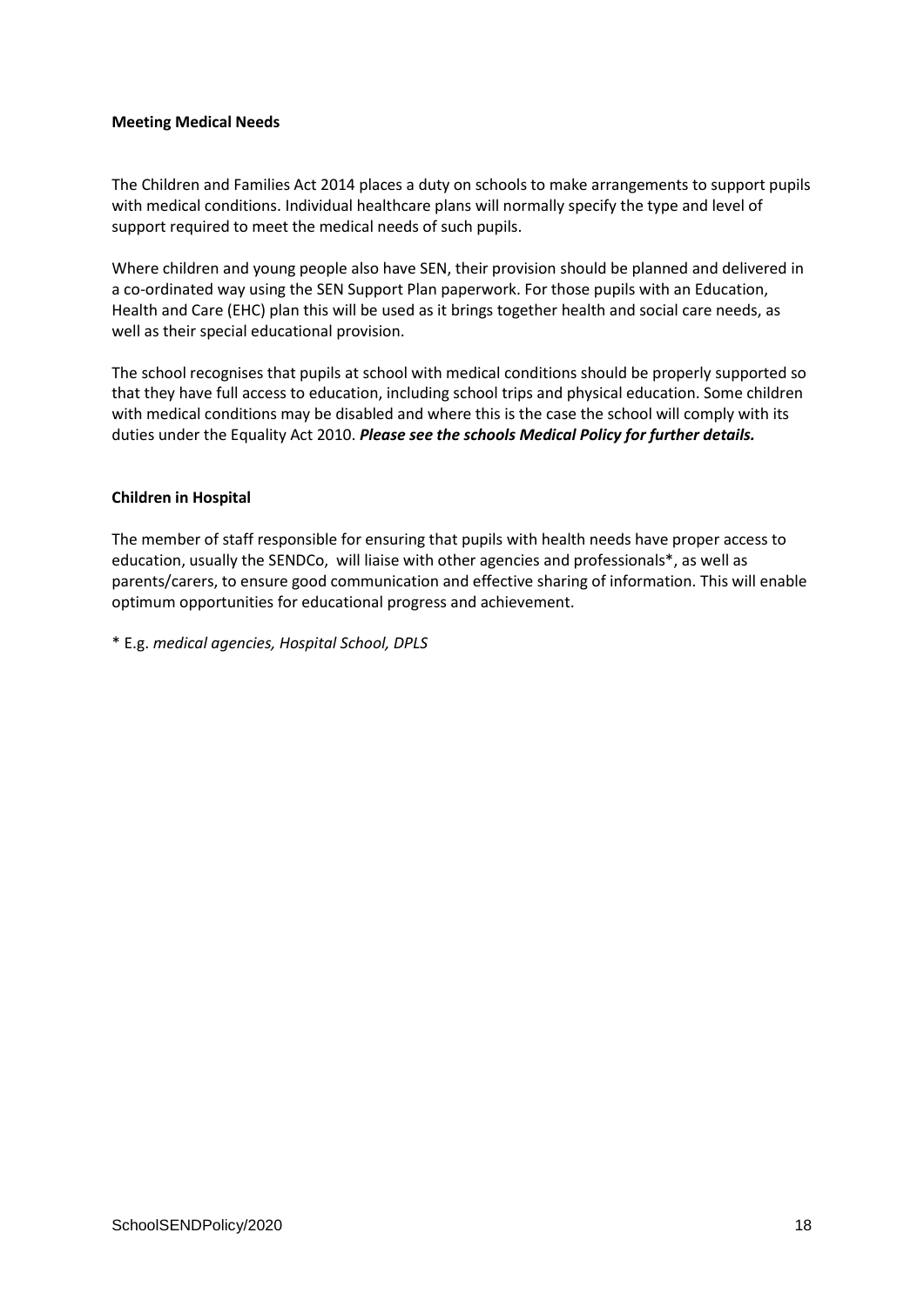#### **Meeting Medical Needs**

The Children and Families Act 2014 places a duty on schools to make arrangements to support pupils with medical conditions. Individual healthcare plans will normally specify the type and level of support required to meet the medical needs of such pupils.

Where children and young people also have SEN, their provision should be planned and delivered in a co-ordinated way using the SEN Support Plan paperwork. For those pupils with an Education, Health and Care (EHC) plan this will be used as it brings together health and social care needs, as well as their special educational provision.

The school recognises that pupils at school with medical conditions should be properly supported so that they have full access to education, including school trips and physical education. Some children with medical conditions may be disabled and where this is the case the school will comply with its duties under the Equality Act 2010. *Please see the schools Medical Policy for further details.*

#### **Children in Hospital**

The member of staff responsible for ensuring that pupils with health needs have proper access to education, usually the SENDCo, will liaise with other agencies and professionals\*, as well as parents/carers, to ensure good communication and effective sharing of information. This will enable optimum opportunities for educational progress and achievement.

\* E.g. *medical agencies, Hospital School, DPLS*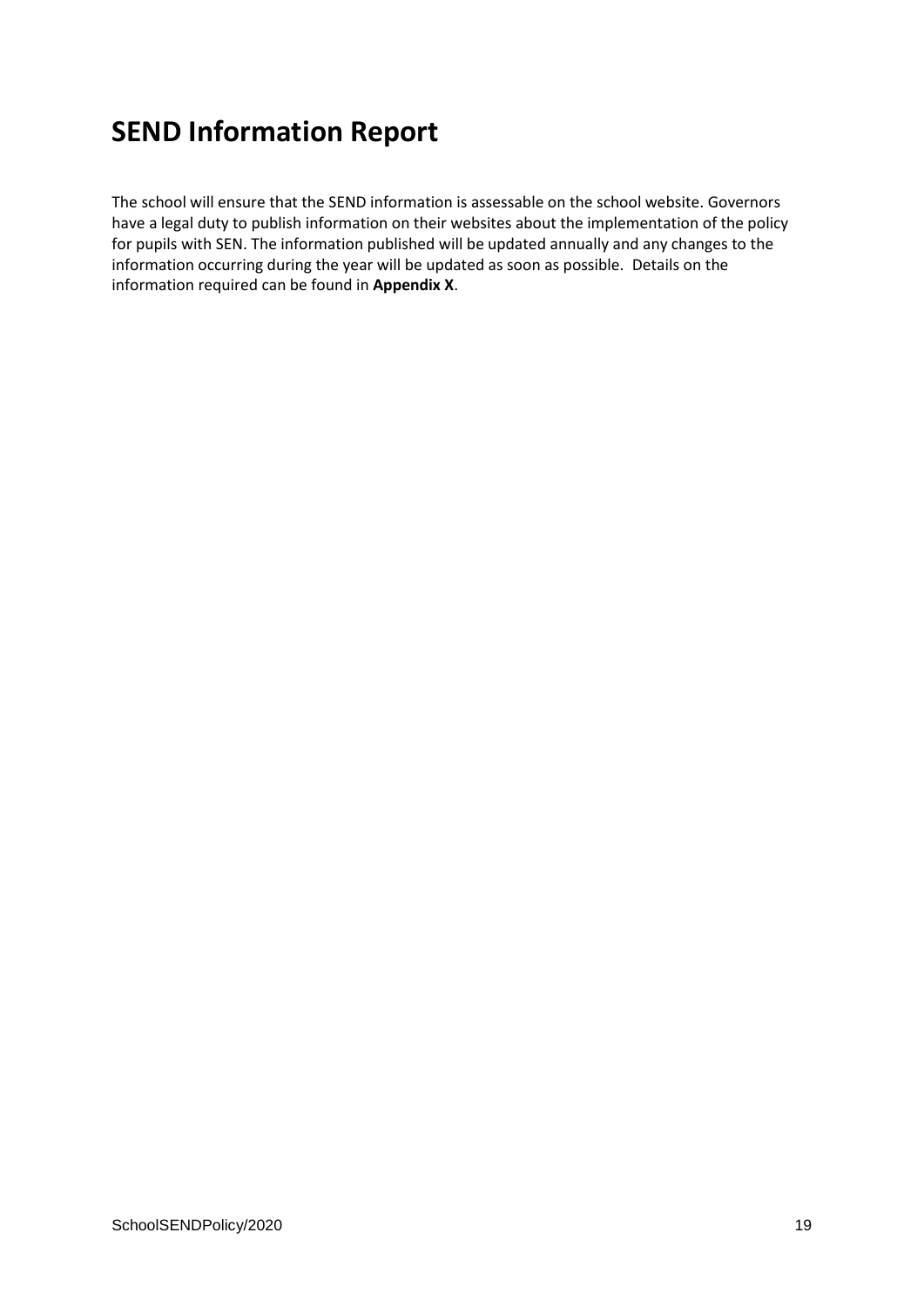### **SEND Information Report**

The school will ensure that the SEND information is assessable on the school website. Governors have a legal duty to publish information on their websites about the implementation of the policy for pupils with SEN. The information published will be updated annually and any changes to the information occurring during the year will be updated as soon as possible. Details on the information required can be found in **Appendix X**.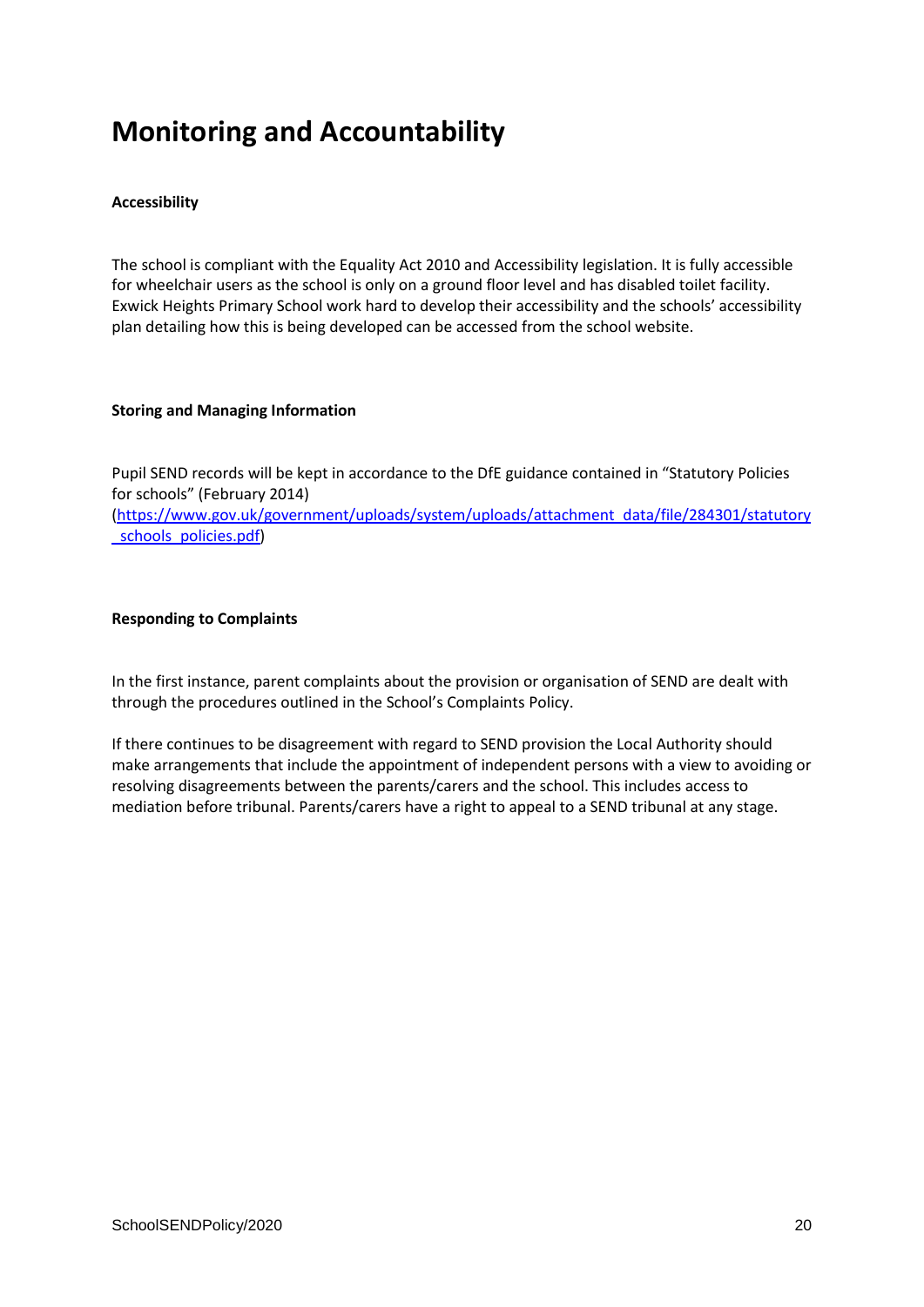### **Monitoring and Accountability**

#### **Accessibility**

The school is compliant with the Equality Act 2010 and Accessibility legislation. It is fully accessible for wheelchair users as the school is only on a ground floor level and has disabled toilet facility. Exwick Heights Primary School work hard to develop their accessibility and the schools' accessibility plan detailing how this is being developed can be accessed from the school website.

#### **Storing and Managing Information**

Pupil SEND records will be kept in accordance to the DfE guidance contained in "Statutory Policies for schools" (February 2014) [\(https://www.gov.uk/government/uploads/system/uploads/attachment\\_data/file/284301/statutory](https://www.gov.uk/government/uploads/system/uploads/attachment_data/file/284301/statutory_schools_policies.pdf) schools\_policies.pdf)

#### **Responding to Complaints**

In the first instance, parent complaints about the provision or organisation of SEND are dealt with through the procedures outlined in the School's Complaints Policy.

If there continues to be disagreement with regard to SEND provision the Local Authority should make arrangements that include the appointment of independent persons with a view to avoiding or resolving disagreements between the parents/carers and the school. This includes access to mediation before tribunal. Parents/carers have a right to appeal to a SEND tribunal at any stage.